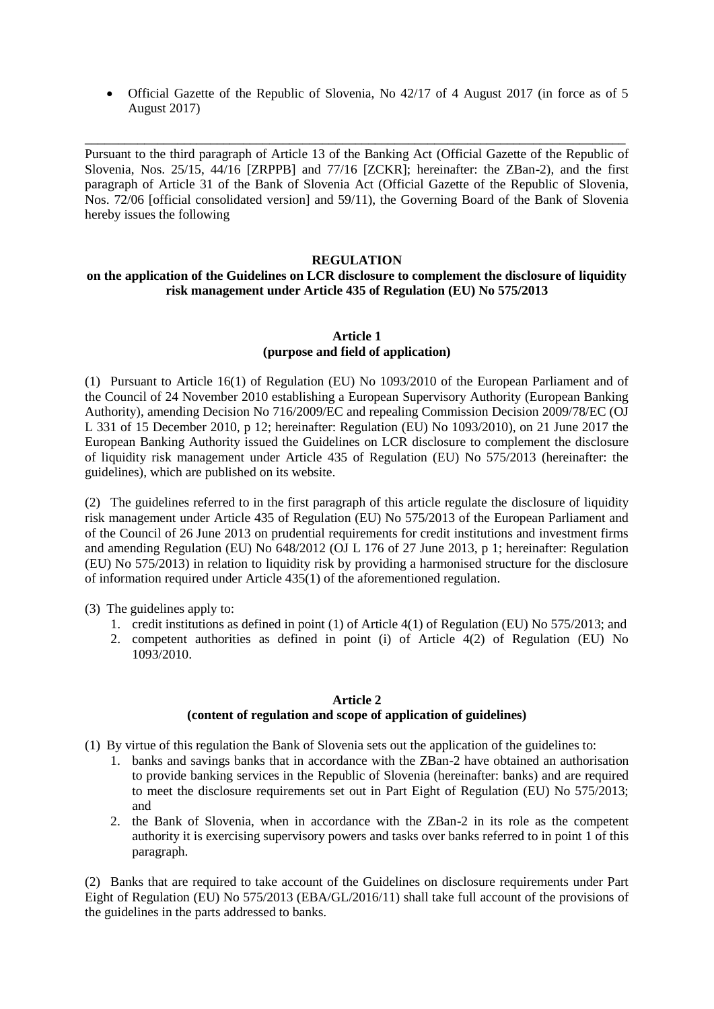Official Gazette of the Republic of Slovenia, No 42/17 of 4 August 2017 (in force as of 5 August 2017)

\_\_\_\_\_\_\_\_\_\_\_\_\_\_\_\_\_\_\_\_\_\_\_\_\_\_\_\_\_\_\_\_\_\_\_\_\_\_\_\_\_\_\_\_\_\_\_\_\_\_\_\_\_\_\_\_\_\_\_\_\_\_\_\_\_\_\_\_\_\_\_\_\_\_\_\_\_\_\_\_\_\_ Pursuant to the third paragraph of Article 13 of the Banking Act (Official Gazette of the Republic of Slovenia, Nos. 25/15, 44/16 [ZRPPB] and 77/16 [ZCKR]; hereinafter: the ZBan-2), and the first paragraph of Article 31 of the Bank of Slovenia Act (Official Gazette of the Republic of Slovenia, Nos. 72/06 [official consolidated version] and 59/11), the Governing Board of the Bank of Slovenia hereby issues the following

## **REGULATION**

## **on the application of the Guidelines on LCR disclosure to complement the disclosure of liquidity risk management under Article 435 of Regulation (EU) No 575/2013**

## **Article 1 (purpose and field of application)**

(1) Pursuant to Article 16(1) of Regulation (EU) No 1093/2010 of the European Parliament and of the Council of 24 November 2010 establishing a European Supervisory Authority (European Banking Authority), amending Decision No 716/2009/EC and repealing Commission Decision 2009/78/EC (OJ L 331 of 15 December 2010, p 12; hereinafter: Regulation (EU) No 1093/2010), on 21 June 2017 the European Banking Authority issued the Guidelines on LCR disclosure to complement the disclosure of liquidity risk management under Article 435 of Regulation (EU) No 575/2013 (hereinafter: the guidelines), which are published on its website.

(2) The guidelines referred to in the first paragraph of this article regulate the disclosure of liquidity risk management under Article 435 of Regulation (EU) No 575/2013 of the European Parliament and of the Council of 26 June 2013 on prudential requirements for credit institutions and investment firms and amending Regulation (EU) No 648/2012 (OJ L 176 of 27 June 2013, p 1; hereinafter: Regulation (EU) No 575/2013) in relation to liquidity risk by providing a harmonised structure for the disclosure of information required under Article 435(1) of the aforementioned regulation.

# (3) The guidelines apply to:

- 1. credit institutions as defined in point (1) of Article 4(1) of Regulation (EU) No 575/2013; and
- 2. competent authorities as defined in point (i) of Article 4(2) of Regulation (EU) No 1093/2010.

#### **Article 2**

## **(content of regulation and scope of application of guidelines)**

- (1) By virtue of this regulation the Bank of Slovenia sets out the application of the guidelines to:
	- 1. banks and savings banks that in accordance with the ZBan-2 have obtained an authorisation to provide banking services in the Republic of Slovenia (hereinafter: banks) and are required to meet the disclosure requirements set out in Part Eight of Regulation (EU) No 575/2013; and
	- 2. the Bank of Slovenia, when in accordance with the ZBan-2 in its role as the competent authority it is exercising supervisory powers and tasks over banks referred to in point 1 of this paragraph.

(2) Banks that are required to take account of the Guidelines on disclosure requirements under Part Eight of Regulation (EU) No 575/2013 (EBA/GL/2016/11) shall take full account of the provisions of the guidelines in the parts addressed to banks.